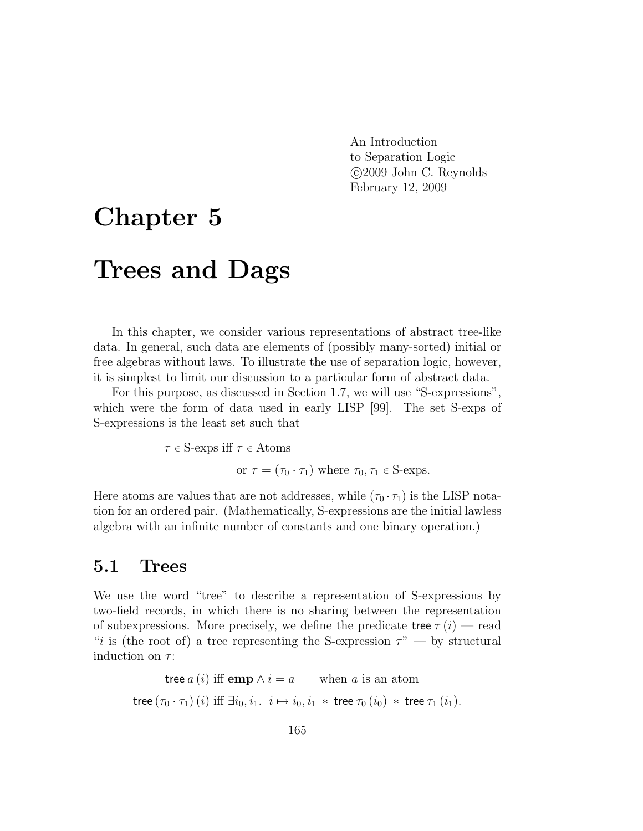An Introduction to Separation Logic c 2009 John C. Reynolds February 12, 2009

# Chapter 5 Trees and Dags

In this chapter, we consider various representations of abstract tree-like data. In general, such data are elements of (possibly many-sorted) initial or free algebras without laws. To illustrate the use of separation logic, however, it is simplest to limit our discussion to a particular form of abstract data.

For this purpose, as discussed in Section 1.7, we will use "S-expressions", which were the form of data used in early LISP [99]. The set S-exps of S-expressions is the least set such that

$$
\tau \in S
$$
-exps iff  $\tau \in A \text{toms}$   
\nor  $\tau = (\tau_0 \cdot \tau_1)$  where  $\tau_0, \tau_1 \in S$ -exps.

Here atoms are values that are not addresses, while  $(\tau_0 \cdot \tau_1)$  is the LISP notation for an ordered pair. (Mathematically, S-expressions are the initial lawless algebra with an infinite number of constants and one binary operation.)

## 5.1 Trees

We use the word "tree" to describe a representation of S-expressions by two-field records, in which there is no sharing between the representation of subexpressions. More precisely, we define the predicate tree  $\tau(i)$  — read "i is (the root of) a tree representing the S-expression  $\tau$ " — by structural induction on  $\tau$ :

tree  $a(i)$  iff emp  $\wedge i = a$  when a is an atom  $\mathsf{tree}\left(\tau_0\cdot\tau_1\right)(i) \text{ iff } \exists i_0, i_1. \;\; i\mapsto i_0, i_1\; *\;\mathsf{tree}\; \tau_0\left(i_0\right) \; *\;\mathsf{tree}\; \tau_1\left(i_1\right)\!.$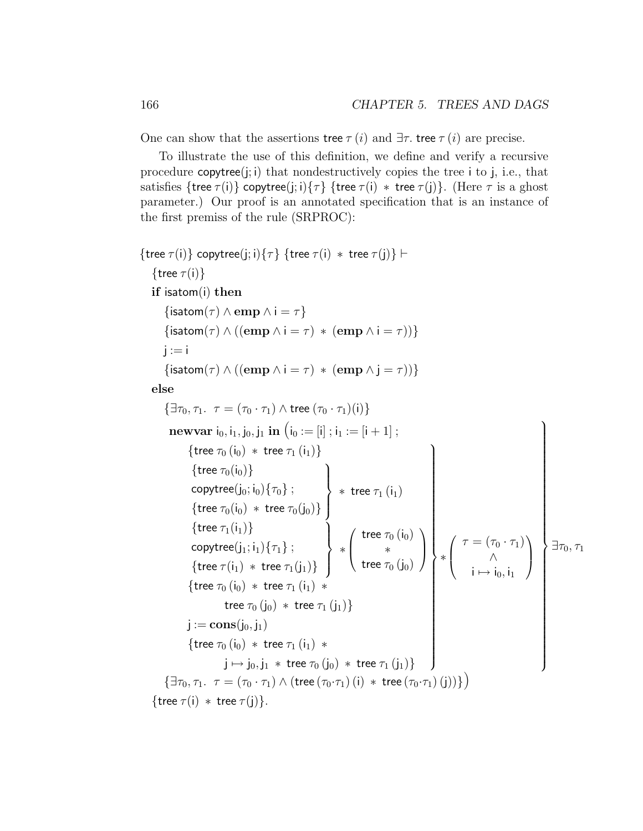One can show that the assertions tree  $\tau(i)$  and  $\exists \tau$ . tree  $\tau(i)$  are precise.

To illustrate the use of this definition, we define and verify a recursive procedure  $\text{copytree}(i; i)$  that nondestructively copies the tree i to j, i.e., that satisfies {tree  $\tau(i)$ } copytree(j; i){ $\tau$ } {tree  $\tau(i)$  \* tree  $\tau(j)$ }. (Here  $\tau$  is a ghost parameter.) Our proof is an annotated specification that is an instance of the first premiss of the rule (SRPROC):

```
{tree \tau(i)} copytree(j; i){\tau} {tree \tau(i) * tree \tau(j)} \vdash{tree \tau(i)}
      if isatom(i) then
               \{\textsf{isatom}(\tau) \wedge \textbf{emp} \wedge \textbf{i} = \tau\}\{\textsf{isatom}(\tau) \land ((\textbf{emp} \land \textbf{i} = \tau) * (\textbf{emp} \land \textbf{i} = \tau))\}i := i\{\textsf{isatom}(\tau) \land ((\textbf{emp} \land \textbf{i} = \tau) * (\textbf{emp} \land \textbf{j} = \tau))\}else
              \{\exists \tau_0, \tau_1. \tau = (\tau_0 \cdot \tau_1) \wedge \text{tree } (\tau_0 \cdot \tau_1)(i)\}newvar i_0, i_1, j_0, j_1 in (i_0 := [i]; i_1 := [i + 1];
                             {tree \tau_0 (i<sub>0</sub>) * tree \tau_1 (i<sub>1</sub>)}
                               {tree \tau_0(i_0)}
                               \mathsf{copytree}(j_0; i_0)\{\tau_0\} ;
                               {tree \tau_0(i_0) * tree \tau_0(j_0)}
                                                                                                              \mathcal{L}\overline{\mathcal{L}}\int* tree \tau_1 (i_1)\{tree \tau_1(i_1)\}\mathsf{copytree}(j_1;i_1)\{\tau_1\}\ ;{tree \tau(i_1) * tree \tau_1(j_1)}
                                                                                                              \mathcal{L}\overline{\mathcal{L}}\int∗
                                                                                                                            \sqrt{ }\overline{ }tree \tau_0 (\mathsf{i}_0)∗
                                                                                                                                    tree \tau_0\left(\mathsf{j}_0\right)\setminus\Big\}{tree \tau_0(i_0) * tree \tau_1(i_1) *tree \tau_{0}\left(\mathsf{j}_{0}\right)\,\ast\, tree \tau_{1}\left(\mathsf{j}_{1}\right)\}{\rm j} := {\bf cons}({\rm j}_0, {\rm j}_1){tree \tau_0(i_0) * tree \tau_1(i_1) *j \mapsto j_0, j_1 * tree \tau_0 (j_0) * tree \tau_1 (j_1)}
                                                                                                                                                                             \mathcal{L}
                                                                                                                                                                             \begin{picture}(20,20) \put(0,0){\vector(1,0){10}} \put(10,0){\vector(1,0){10}} \put(10,0){\vector(1,0){10}} \put(10,0){\vector(1,0){10}} \put(10,0){\vector(1,0){10}} \put(10,0){\vector(1,0){10}} \put(10,0){\vector(1,0){10}} \put(10,0){\vector(1,0){10}} \put(10,0){\vector(1,0){10}} \put(10,0){\vector(1,0){10}} \put(10,0){\vector(1,0){10}} \put(10,0){\vector(1∗
                                                                                                                                                                                        \sqrt{ }\left\lfloor \right\rfloor\tau = (\tau_0 \cdot \tau_1)∧
                                                                                                                                                                                                      i \mapsto i_0, i_1\setminus\Big\}\mathcal{L}
                                                                                                                                                                                                                                               \begin{picture}(20,20) \put(0,0){\line(1,0){10}} \put(10,0){\line(1,0){10}} \put(10,0){\line(1,0){10}} \put(10,0){\line(1,0){10}} \put(10,0){\line(1,0){10}} \put(10,0){\line(1,0){10}} \put(10,0){\line(1,0){10}} \put(10,0){\line(1,0){10}} \put(10,0){\line(1,0){10}} \put(10,0){\line(1,0){10}} \put(10,0){\line(1,0){10}} \put(10,0){\line(1\exists \tau_0, \tau_1\{\exists \tau_0, \tau_1 \ldots \tau = (\tau_0 \cdot \tau_1) \wedge (\text{tree } (\tau_0 \cdot \tau_1) \cdot (i) \ast \text{tree } (\tau_0 \cdot \tau_1) \cdot (i))\}\){tree \tau(i) * tree \tau(j)}.
```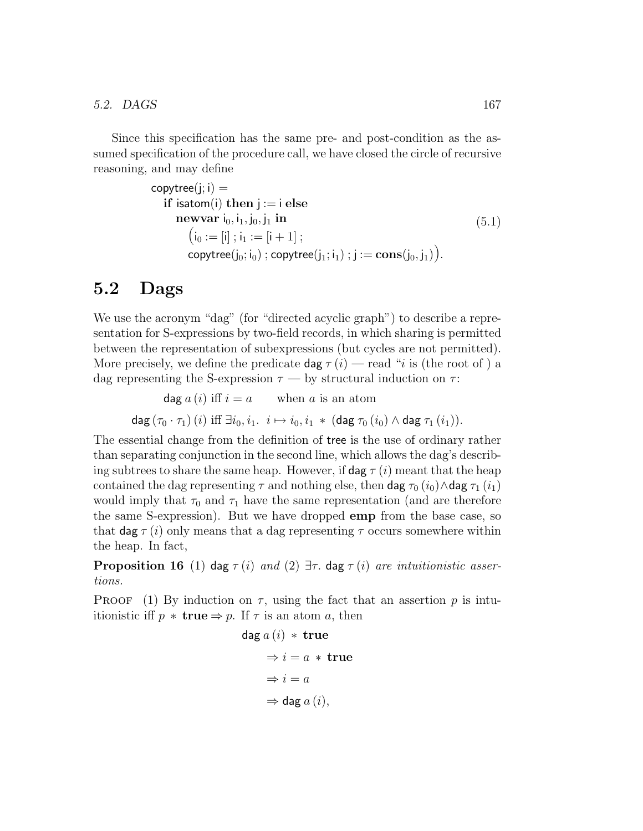Since this specification has the same pre- and post-condition as the assumed specification of the procedure call, we have closed the circle of recursive reasoning, and may define

```
copytree(i;i) =if isatom(i) then i := i else
      newvar i_0, i_1, j_0, j_1 in
         (i_0 := [i] ; i_1 := [i + 1] ;copytree(j_0; i_0); copytree(j_1; i_1); j := \textbf{cons}(j_0, j_1)).
                                                                               (5.1)
```
# 5.2 Dags

We use the acronym "dag" (for "directed acyclic graph") to describe a representation for S-expressions by two-field records, in which sharing is permitted between the representation of subexpressions (but cycles are not permitted). More precisely, we define the predicate dag  $\tau(i)$  — read "i is (the root of ) a dag representing the S-expression  $\tau$  — by structural induction on  $\tau$ :

dag  $a(i)$  iff  $i = a$  when a is an atom dag  $(\tau_0 \cdot \tau_1)$   $(i)$  iff  $\exists i_0, i_1 \ldots i \mapsto i_0, i_1 \ast (\text{dag } \tau_0 (i_0) \wedge \text{dag } \tau_1 (i_1)).$ 

The essential change from the definition of tree is the use of ordinary rather than separating conjunction in the second line, which allows the dag's describing subtrees to share the same heap. However, if  $\deg \tau (i)$  meant that the heap contained the dag representing  $\tau$  and nothing else, then dag  $\tau_0$  (i<sub>0</sub>)∧dag  $\tau_1$  (i<sub>1</sub>) would imply that  $\tau_0$  and  $\tau_1$  have the same representation (and are therefore the same S-expression). But we have dropped emp from the base case, so that dag  $\tau(i)$  only means that a dag representing  $\tau$  occurs somewhere within the heap. In fact,

**Proposition 16** (1) dag  $\tau(i)$  and (2)  $\exists \tau$ . dag  $\tau(i)$  are intuitionistic assertions.

**PROOF** (1) By induction on  $\tau$ , using the fact that an assertion p is intuitionistic iff  $p * \textbf{true} \Rightarrow p$ . If  $\tau$  is an atom a, then

$$
\begin{aligned}\n\text{dag } a (i) * \text{ true} \\
\Rightarrow i &= a * \text{ true} \\
\Rightarrow i &= a \\
\Rightarrow \text{dag } a (i),\n\end{aligned}
$$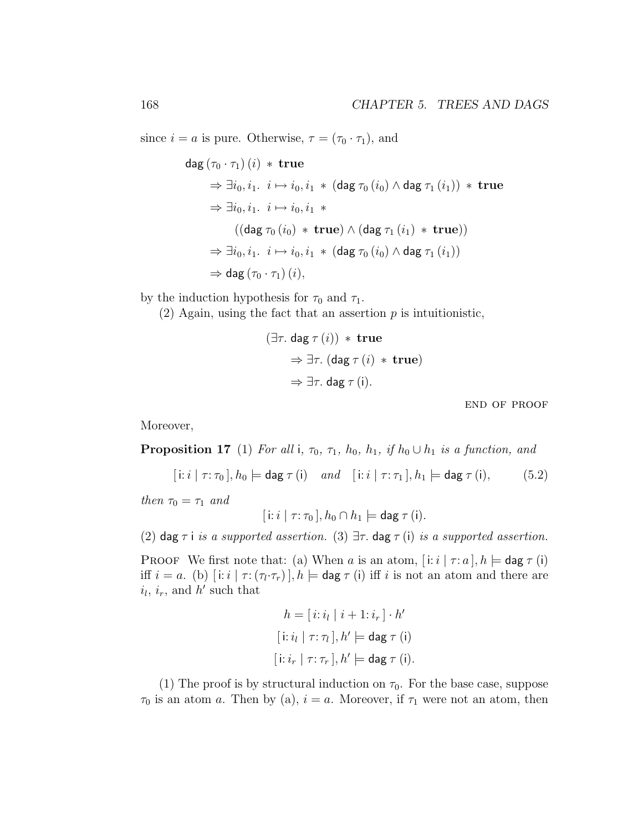since  $i = a$  is pure. Otherwise,  $\tau = (\tau_0 \cdot \tau_1)$ , and

$$
\begin{aligned}\n\deg \left(\tau_0 \cdot \tau_1\right)(i) &\ast \textbf{ true} \\
&\Rightarrow \exists i_0, i_1. \quad i \mapsto i_0, i_1 \ast (\deg \tau_0(i_0) \land \deg \tau_1(i_1)) \ast \textbf{ true} \\
&\Rightarrow \exists i_0, i_1. \quad i \mapsto i_0, i_1 \ast \\
&\quad \left((\deg \tau_0(i_0) \ast \textbf{ true}) \land (\deg \tau_1(i_1) \ast \textbf{ true})\right) \\
&\Rightarrow \exists i_0, i_1. \quad i \mapsto i_0, i_1 \ast (\deg \tau_0(i_0) \land \deg \tau_1(i_1)) \\
&\Rightarrow \deg \left(\tau_0 \cdot \tau_1\right)(i),\n\end{aligned}
$$

by the induction hypothesis for  $\tau_0$  and  $\tau_1$ .

(2) Again, using the fact that an assertion  $p$  is intuitionistic,

$$
(\exists \tau. \text{ dag } \tau (i)) * \text{ true}
$$
  
\n
$$
\Rightarrow \exists \tau. (\text{dag } \tau (i) * \text{ true})
$$
  
\n
$$
\Rightarrow \exists \tau. \text{ dag } \tau (i).
$$

end of proof

Moreover,

**Proposition 17** (1) For all i,  $\tau_0$ ,  $\tau_1$ ,  $h_0$ ,  $h_1$ , if  $h_0 \cup h_1$  is a function, and

$$
[i:i \mid \tau:\tau_0], h_0 \models \text{dag } \tau(i) \quad and \quad [i:i \mid \tau:\tau_1], h_1 \models \text{dag } \tau(i), \tag{5.2}
$$

then  $\tau_0 = \tau_1$  and

$$
[i:i \mid \tau: \tau_0], h_0 \cap h_1 \models \text{dag } \tau (i).
$$

(2) dag  $\tau$  i is a supported assertion. (3)  $\exists \tau$  dag  $\tau$  (i) is a supported assertion.

PROOF We first note that: (a) When a is an atom,  $[i:i | \tau : a], h \models \text{dag } \tau$  (i) iff  $i = a$ . (b)  $[i:i] \tau: (\tau_i \cdot \tau_r)$ ,  $h \models$  dag  $\tau$  (i) iff i is not an atom and there are  $i_l$ ,  $i_r$ , and  $h'$  such that

$$
h = [i : i_l | i + 1 : i_r] \cdot h'
$$
  
[i : i\_l | \tau : \tau\_l], h' \models dag \tau (i)  
[i : i\_r | \tau : \tau\_r], h' \models dag \tau (i).

(1) The proof is by structural induction on  $\tau_0$ . For the base case, suppose  $\tau_0$  is an atom a. Then by (a),  $i = a$ . Moreover, if  $\tau_1$  were not an atom, then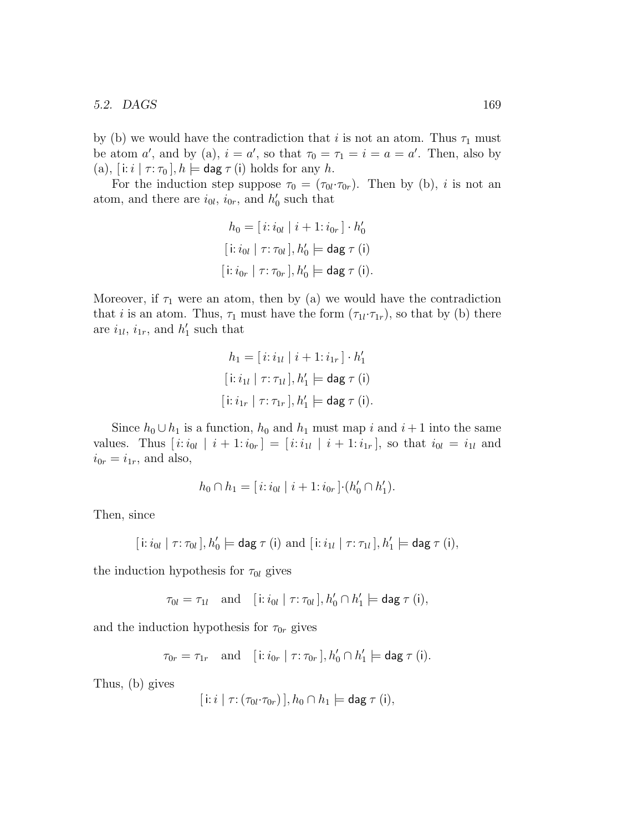#### 5.2. DAGS 169

by (b) we would have the contradiction that i is not an atom. Thus  $\tau_1$  must be atom a', and by (a),  $i = a'$ , so that  $\tau_0 = \tau_1 = i = a = a'$ . Then, also by (a),  $[i:i | \tau : \tau_0]$ ,  $h \models \text{dag }\tau(i)$  holds for any h.

For the induction step suppose  $\tau_0 = (\tau_{0l} \cdot \tau_{0r})$ . Then by (b), *i* is not an atom, and there are  $i_{0l}$ ,  $i_{0r}$ , and  $h'_0$  such that

$$
h_0 = [i : i_{0l} | i + 1 : i_{0r}] \cdot h'_0
$$
  
\n[i : i\_{0l} | \tau : \tau\_{0l}], h'\_0 \models \text{dag } \tau (i)  
\n[i : i\_{0r} | \tau : \tau\_{0r}], h'\_0 \models \text{dag } \tau (i).

Moreover, if  $\tau_1$  were an atom, then by (a) we would have the contradiction that *i* is an atom. Thus,  $\tau_1$  must have the form  $(\tau_{1l} \cdot \tau_{1r})$ , so that by (b) there are  $i_{1l}$ ,  $i_{1r}$ , and  $h'_1$  such that

$$
h_1 = [i: i_{1l} | i+1: i_{1r}] \cdot h'_1
$$
  
\n
$$
[i: i_{1l} | \tau: \tau_{1l}], h'_1 \models \text{dag } \tau \text{ (i)}
$$
  
\n
$$
[i: i_{1r} | \tau: \tau_{1r}], h'_1 \models \text{dag } \tau \text{ (i)}.
$$

Since  $h_0 \cup h_1$  is a function,  $h_0$  and  $h_1$  must map i and  $i + 1$  into the same values. Thus  $[i:i_{0l} | i+1:i_{0r}] = [i:i_{1l} | i+1:i_{1r}],$  so that  $i_{0l} = i_{1l}$  and  $i_{0r} = i_{1r}$ , and also,

$$
h_0 \cap h_1 = [i : i_{0l} \mid i+1 : i_{0r}] \cdot (h'_0 \cap h'_1).
$$

Then, since

$$
[\,i: i_{0l}\mid \tau:\tau_{0l}\,], h'_0 \models \mathsf{dag}\,\tau\,(i)\,\,\text{and}\,\,[\,i: i_{1l}\mid \tau:\tau_{1l}\,], h'_1 \models \mathsf{dag}\,\tau\,(i),
$$

the induction hypothesis for  $\tau_{0l}$  gives

$$
\tau_{0l} = \tau_{1l} \quad \text{and} \quad [\text{i}: i_{0l} \mid \tau : \tau_{0l}], h'_0 \cap h'_1 \models \text{dag } \tau \text{ (i)},
$$

and the induction hypothesis for  $\tau_{0r}$  gives

$$
\tau_{0r} = \tau_{1r} \quad \text{and} \quad [\text{i}: i_{0r} \mid \tau : \tau_{0r}], h'_0 \cap h'_1 \models \text{dag } \tau \text{ (i)}.
$$

Thus, (b) gives

$$
[\,i\colon i\mid \tau\colon (\tau_{0l}\cdot\tau_{0r})\,], h_0\cap h_1 \models \text{dag }\tau(i),
$$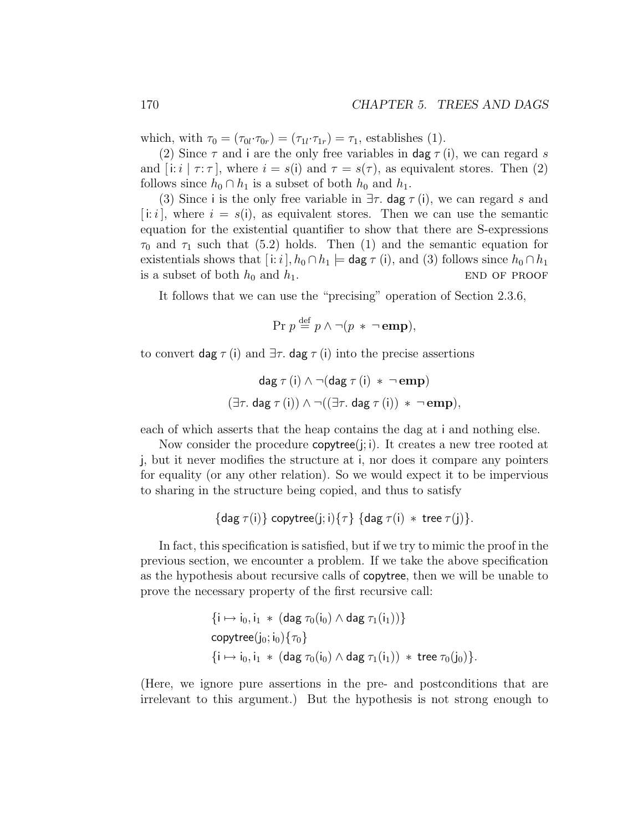which, with  $\tau_0 = (\tau_{0l} \cdot \tau_{0r}) = (\tau_{1l} \cdot \tau_{1r}) = \tau_1$ , establishes (1).

(2) Since  $\tau$  and i are the only free variables in dag  $\tau(i)$ , we can regard s and  $[i:i | \tau:\tau]$ , where  $i = s(i)$  and  $\tau = s(\tau)$ , as equivalent stores. Then (2) follows since  $h_0 \cap h_1$  is a subset of both  $h_0$  and  $h_1$ .

(3) Since i is the only free variable in  $\exists \tau$ . dag  $\tau$  (i), we can regard s and [i: i], where  $i = s(i)$ , as equivalent stores. Then we can use the semantic equation for the existential quantifier to show that there are S-expressions  $\tau_0$  and  $\tau_1$  such that (5.2) holds. Then (1) and the semantic equation for existentials shows that  $[i:i]$ ,  $h_0 \cap h_1 \models$  dag  $\tau(i)$ , and (3) follows since  $h_0 \cap h_1$ is a subset of both  $h_0$  and  $h_1$ . END OF PROOF

It follows that we can use the "precising" operation of Section 2.3.6,

 $Pr p \stackrel{\text{def}}{=} p \land \neg (p * \neg \textbf{emp}),$ 

to convert dag  $\tau$  (i) and  $\exists \tau$ . dag  $\tau$  (i) into the precise assertions

$$
\mathsf{dag}\; \tau(i) \land \neg(\mathsf{dag}\; \tau(i) * \neg\mathbf{emp})
$$

$$
(\exists \tau. \; \mathsf{dag}\; \tau(i)) \land \neg((\exists \tau. \; \mathsf{dag}\; \tau(i)) * \neg\mathbf{emp}),
$$

each of which asserts that the heap contains the dag at i and nothing else.

Now consider the procedure  $\text{copytree}(i; i)$ . It creates a new tree rooted at j, but it never modifies the structure at i, nor does it compare any pointers for equality (or any other relation). So we would expect it to be impervious to sharing in the structure being copied, and thus to satisfy

$$
\{\text{dag }\tau(i)\} \text{ copytree}(j;i) \{\tau\} \{\text{dag }\tau(i) * \text{tree }\tau(j)\}.
$$

In fact, this specification is satisfied, but if we try to mimic the proof in the previous section, we encounter a problem. If we take the above specification as the hypothesis about recursive calls of copytree, then we will be unable to prove the necessary property of the first recursive call:

$$
\{i \mapsto i_0, i_1 \ast (\text{dag } \tau_0(i_0) \wedge \text{dag } \tau_1(i_1))\}
$$
\n
$$
\text{copytree}(j_0; i_0) \{\tau_0\}
$$
\n
$$
\{i \mapsto i_0, i_1 \ast (\text{dag } \tau_0(i_0) \wedge \text{dag } \tau_1(i_1)) \ast \text{tree } \tau_0(j_0)\}.
$$

(Here, we ignore pure assertions in the pre- and postconditions that are irrelevant to this argument.) But the hypothesis is not strong enough to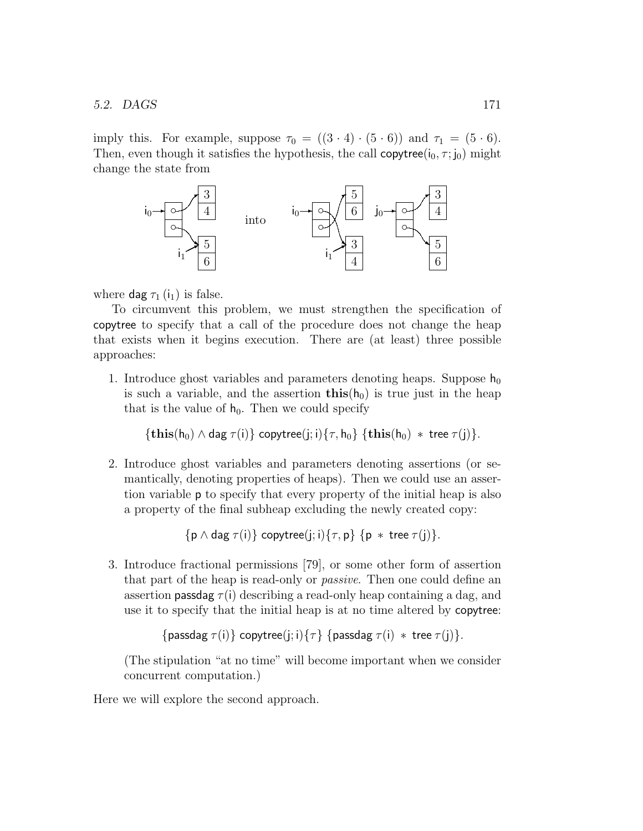#### 5.2. DAGS 171

imply this. For example, suppose  $\tau_0 = ((3 \cdot 4) \cdot (5 \cdot 6))$  and  $\tau_1 = (5 \cdot 6)$ . Then, even though it satisfies the hypothesis, the call copytree( $(i_0, \tau; j_0)$  might change the state from



where  $\textsf{dag} \tau_1(i_1)$  is false.

To circumvent this problem, we must strengthen the specification of copytree to specify that a call of the procedure does not change the heap that exists when it begins execution. There are (at least) three possible approaches:

1. Introduce ghost variables and parameters denoting heaps. Suppose  $h_0$ is such a variable, and the assertion  $\text{this}(h_0)$  is true just in the heap that is the value of  $h_0$ . Then we could specify

 ${\{\textbf{this}(h_0) \wedge \text{dag } \tau(i)\}\}$  copytree(j; i) ${\{\tau, h_0\}\}$   ${\{\textbf{this}(h_0) * \textbf{tree } \tau(j)\}\}.$ 

2. Introduce ghost variables and parameters denoting assertions (or semantically, denoting properties of heaps). Then we could use an assertion variable p to specify that every property of the initial heap is also a property of the final subheap excluding the newly created copy:

 $\{p \wedge \text{dag } \tau(i)\}\$ copytree $(i; i)$  $\{\tau, p\}$   $\{p * \text{tree } \tau(i)\}.$ 

3. Introduce fractional permissions [79], or some other form of assertion that part of the heap is read-only or *passive*. Then one could define an assertion **passdag**  $\tau(i)$  describing a read-only heap containing a dag, and use it to specify that the initial heap is at no time altered by copytree:

```
{passdag \tau(i)} copytree(j; i){\tau} {passdag \tau(i) * tree \tau(i)}.
```
(The stipulation "at no time" will become important when we consider concurrent computation.)

Here we will explore the second approach.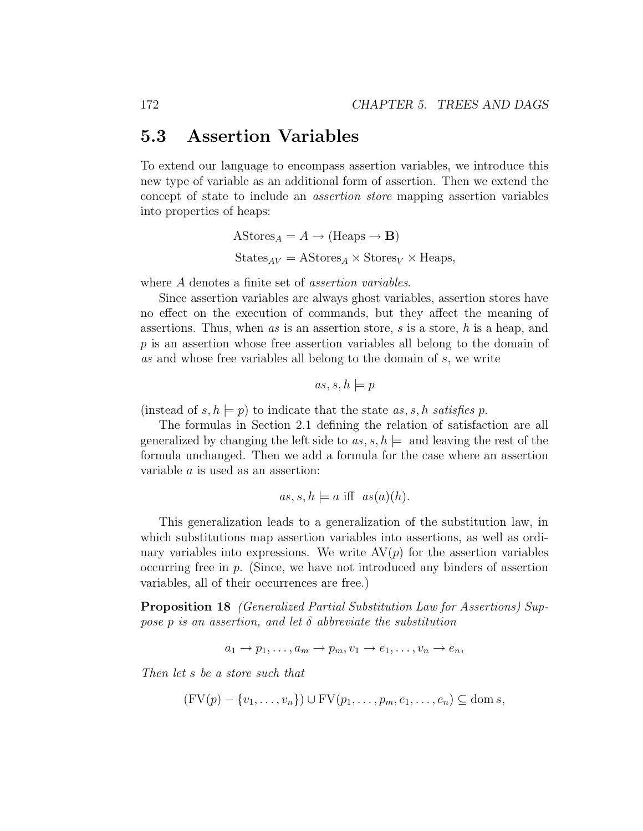## 5.3 Assertion Variables

To extend our language to encompass assertion variables, we introduce this new type of variable as an additional form of assertion. Then we extend the concept of state to include an assertion store mapping assertion variables into properties of heaps:

$$
A\text{Stores}_A = A \to (\text{Heaps} \to \mathbf{B})
$$
  
States<sub>AV</sub> = A\text{Stores}<sub>A</sub> × Stores<sub>V</sub> × Heaps,

where A denotes a finite set of *assertion variables*.

Since assertion variables are always ghost variables, assertion stores have no effect on the execution of commands, but they affect the meaning of assertions. Thus, when as is an assertion store, s is a store, h is a heap, and p is an assertion whose free assertion variables all belong to the domain of as and whose free variables all belong to the domain of s, we write

$$
as, s, h \models p
$$

(instead of  $s, h \models p$ ) to indicate that the state  $as, s, h$  satisfies p.

The formulas in Section 2.1 defining the relation of satisfaction are all generalized by changing the left side to  $as, s, h \models$  and leaving the rest of the formula unchanged. Then we add a formula for the case where an assertion variable a is used as an assertion:

$$
as, s, h \models a \text{ iff } as(a)(h).
$$

This generalization leads to a generalization of the substitution law, in which substitutions map assertion variables into assertions, as well as ordinary variables into expressions. We write  $AV(p)$  for the assertion variables occurring free in p. (Since, we have not introduced any binders of assertion variables, all of their occurrences are free.)

Proposition 18 (Generalized Partial Substitution Law for Assertions) Suppose p is an assertion, and let  $\delta$  abbreviate the substitution

$$
a_1 \to p_1, \ldots, a_m \to p_m, v_1 \to e_1, \ldots, v_n \to e_n,
$$

Then let s be a store such that

$$
(\text{FV}(p) - \{v_1, \ldots, v_n\}) \cup \text{FV}(p_1, \ldots, p_m, e_1, \ldots, e_n) \subseteq \text{dom } s,
$$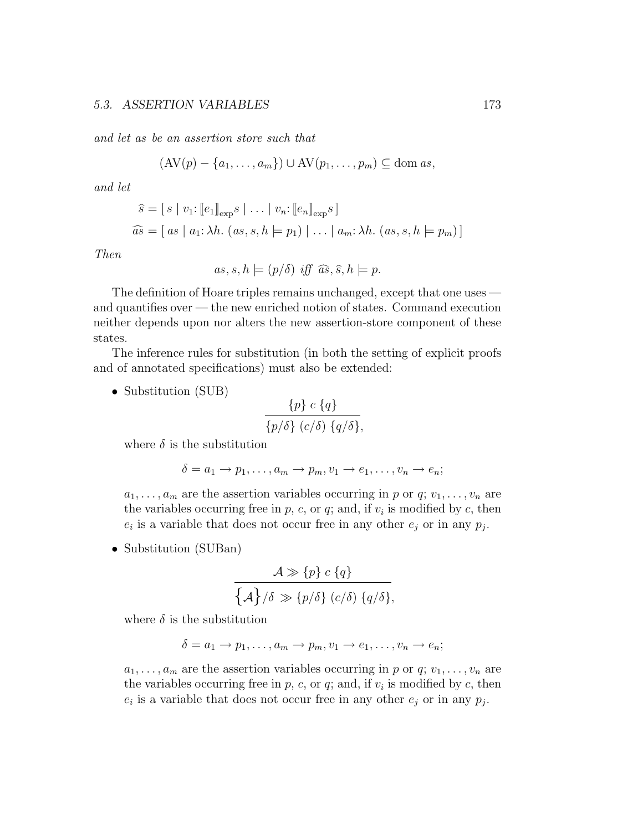and let as be an assertion store such that

$$
(\mathrm{AV}(p) - \{a_1, \ldots, a_m\}) \cup \mathrm{AV}(p_1, \ldots, p_m) \subseteq \mathrm{dom}\, as,
$$

and let

$$
\widehat{s} = [s \mid v_1: [\![e_1]\!]_{\text{exp}} s \mid \dots \mid v_n: [\![e_n]\!]_{\text{exp}} s]
$$
  

$$
\widehat{as} = [as \mid a_1: \lambda h. (as, s, h \models p_1) \mid \dots \mid a_m: \lambda h. (as, s, h \models p_m)]
$$

Then

$$
as, s, h \models (p/\delta) \text{ iff } \widehat{as}, \widehat{s}, h \models p.
$$

The definition of Hoare triples remains unchanged, except that one uses and quantifies over — the new enriched notion of states. Command execution neither depends upon nor alters the new assertion-store component of these states.

The inference rules for substitution (in both the setting of explicit proofs and of annotated specifications) must also be extended:

• Substitution (SUB)

$$
\frac{\{p\} c \{q\}}{\{p/\delta\} (c/\delta) \{q/\delta\}},
$$

where  $\delta$  is the substitution

$$
\delta = a_1 \to p_1, \dots, a_m \to p_m, v_1 \to e_1, \dots, v_n \to e_n;
$$

 $a_1, \ldots, a_m$  are the assertion variables occurring in p or q;  $v_1, \ldots, v_n$  are the variables occurring free in  $p$ ,  $c$ , or  $q$ ; and, if  $v<sub>i</sub>$  is modified by  $c$ , then  $e_i$  is a variable that does not occur free in any other  $e_j$  or in any  $p_j$ .

• Substitution (SUBan)

$$
\frac{\mathcal{A} \gg \{p\} \ c \{q\}}{\{\mathcal{A}\}/\delta \gg \{p/\delta\} \ (c/\delta) \ \{q/\delta\}},
$$

where  $\delta$  is the substitution

$$
\delta = a_1 \to p_1, \ldots, a_m \to p_m, v_1 \to e_1, \ldots, v_n \to e_n;
$$

 $a_1, \ldots, a_m$  are the assertion variables occurring in p or q;  $v_1, \ldots, v_n$  are the variables occurring free in  $p$ ,  $c$ , or  $q$ ; and, if  $v<sub>i</sub>$  is modified by  $c$ , then  $e_i$  is a variable that does not occur free in any other  $e_j$  or in any  $p_j$ .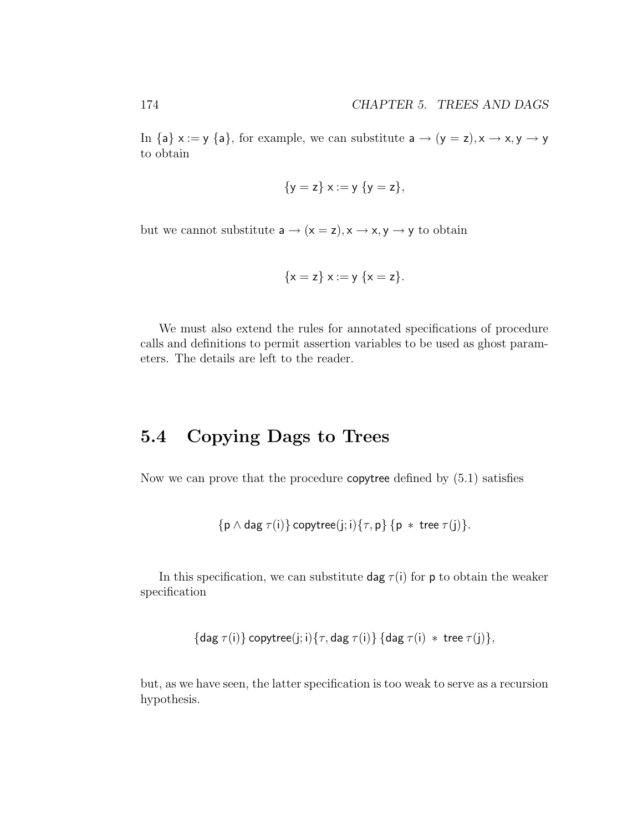In {a}  $x := y$  {a}, for example, we can substitute  $a \rightarrow (y = z), x \rightarrow x, y \rightarrow y$ to obtain

$$
\{y = z\} \times := y \{y = z\},
$$

but we cannot substitute  $a \rightarrow (x = z), x \rightarrow x, y \rightarrow y$  to obtain

$$
\{x = z\} \ x := y \ \{x = z\}.
$$

We must also extend the rules for annotated specifications of procedure calls and definitions to permit assertion variables to be used as ghost parameters. The details are left to the reader.

# 5.4 Copying Dags to Trees

Now we can prove that the procedure copytree defined by (5.1) satisfies

$$
\{p \land \text{dag } \tau(i)\} \text{ copytree}(j; i) \{\tau, p\} \{p * tree \tau(j)\}.
$$

In this specification, we can substitute  $\text{dag } \tau(i)$  for p to obtain the weaker specification

$$
\{\mathsf{dag}\ \tau(i)\}\ \mathsf{copytree}(j;i)\{\tau,\mathsf{dag}\ \tau(i)\}\ \{\mathsf{dag}\ \tau(i)\ * \ \mathsf{tree}\ \tau(j)\},
$$

but, as we have seen, the latter specification is too weak to serve as a recursion hypothesis.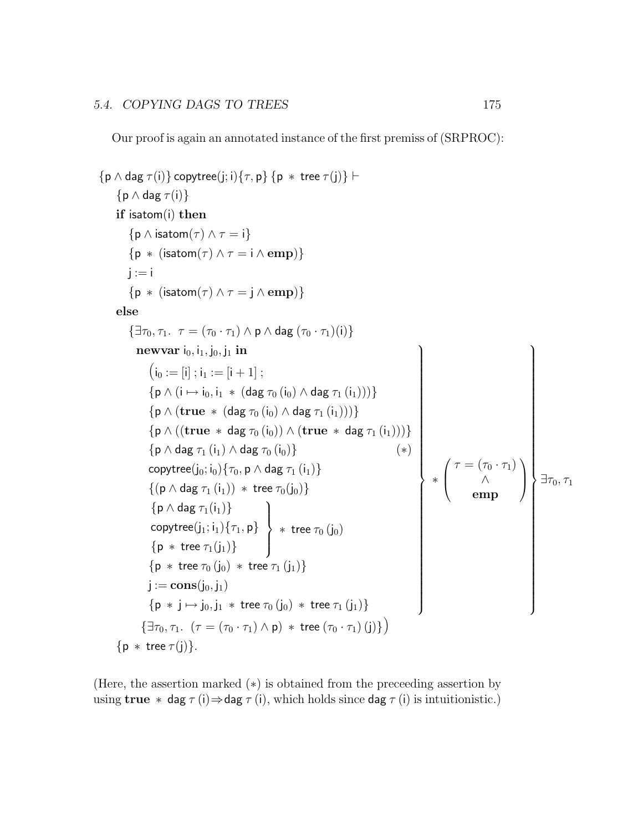Our proof is again an annotated instance of the first premiss of (SRPROC):

```
\{p \wedge \text{dag } \tau(i)\}\copytree(i; i)\{\tau, p\}\{p * \text{tree } \tau(j)\}\vdash\{p \wedge dag \tau(i)\}\if isatom(i) then
           \{p \wedge isatom(\tau) \wedge \tau = i\}{p * (isatom(<math>\tau</math>) <math>\land \tau = i \land emp)</math>}j := i{p * (isatom(<math>\tau</math>) <math>\land \tau = j \land emp)</math>}else
           \{\exists \tau_0, \tau_1, \tau = (\tau_0 \cdot \tau_1) \wedge \mathsf{p} \wedge \mathsf{dag}(\tau_0 \cdot \tau_1)(i)\}newvar i_0, i_1, i_0, i_1 in
                  (i_0 := [i]; i_1 := [i+1];
                  \{p \wedge (i \mapsto i_0, i_1 \ast (diag \tau_0 (i_0) \wedge dag \tau_1 (i_1)))\}\{p \wedge (true * (dag <math>\tau_0</math> (i<sub>0</sub>) \wedge dag <math>\tau_1</math> (i<sub>1</sub>))))\}{p \wedge ((true * dag \tau_0(i_0)) \wedge (true * dag \tau_1(i_1)))}
                  \{p \wedge dag \tau_1(i_1) \wedge dag \tau_0(i_0)\} (*)
                  copytree(j_0; i_0){\tau_0, p \wedge dag \tau_1 (i_1)}
                  \{(\mathsf{p} \land \mathsf{dag} \; \tau_1(i_1)) \; * \; \mathsf{tree} \; \tau_0(j_0)\}\;\{p \wedge dag \tau_1(i_1)\}\\mathsf{copytree}(j_1;i_1)\{\tau_1,\mathsf{p}\}\{p * tree \tau_1(j_1)\}\\mathcal{L}\downarrow\int* tree \tau_{0}\left(\mathsf{j}_{0}\right)\{p * tree \tau_0(j_0) * tree \tau_1(j_1)\}\j := \text{cons}(j_0, j_1){p * j \mapsto j_0, j_1 * tree \tau_0 (j_0) * tree \tau_1 (j_1)}\mathcal{L}

                                                                                                                              ∗
                                                                                                                                 \sqrt{ }\left\lfloor \right\rfloor\tau = (\tau_0 \cdot \tau_1)∧
                                                                                                                                             emp
                                                                                                                                                               \setminus\Big\}\mathcal{L}

                                                                                                                                                                       \exists \tau_0, \tau_1\{\exists \tau_0, \tau_1. \; (\tau = (\tau_0 \cdot \tau_1) \wedge \mathsf{p}) \; * \; \text{tree} \, (\tau_0 \cdot \tau_1) \, (\text{i})\}\)\{p * tree \tau(j)\}.
```
(Here, the assertion marked  $(*)$ ) is obtained from the preceding assertion by using true  $*$  dag  $\tau(i) \Rightarrow$  dag  $\tau(i)$ , which holds since dag  $\tau(i)$  is intuitionistic.)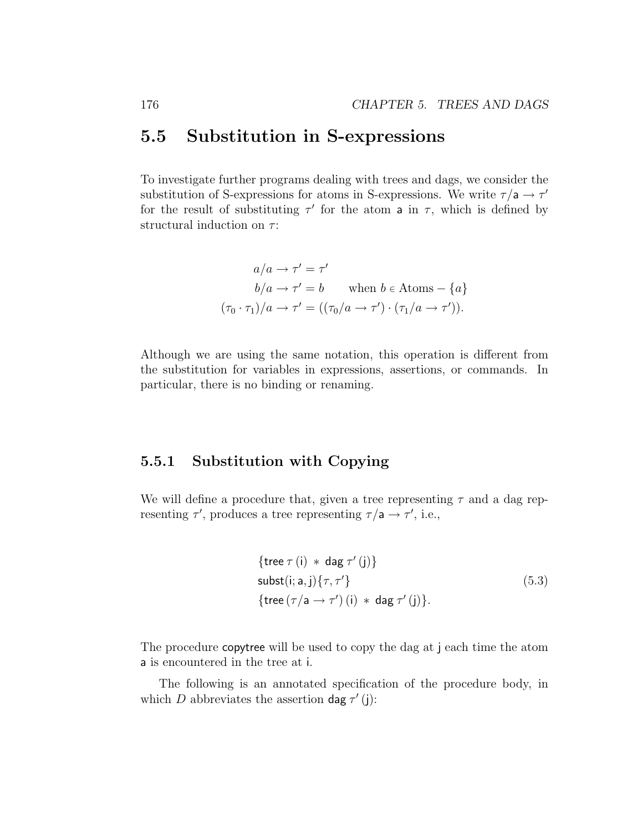## 5.5 Substitution in S-expressions

To investigate further programs dealing with trees and dags, we consider the substitution of S-expressions for atoms in S-expressions. We write  $\tau/a \rightarrow \tau'$ for the result of substituting  $\tau'$  for the atom a in  $\tau$ , which is defined by structural induction on  $\tau$ :

$$
a/a \to \tau' = \tau'
$$
  
\n
$$
b/a \to \tau' = b \qquad \text{when } b \in \text{Atoms} - \{a\}
$$
  
\n
$$
(\tau_0 \cdot \tau_1)/a \to \tau' = ((\tau_0/a \to \tau') \cdot (\tau_1/a \to \tau')).
$$

Although we are using the same notation, this operation is different from the substitution for variables in expressions, assertions, or commands. In particular, there is no binding or renaming.

## 5.5.1 Substitution with Copying

We will define a procedure that, given a tree representing  $\tau$  and a dag representing  $\tau'$ , produces a tree representing  $\tau/a \rightarrow \tau'$ , i.e.,

$$
\{ \text{tree } \tau \text{ (i)} * \text{ dag } \tau' \text{ (j)} \}
$$
\n
$$
\text{subst}(i; a, j) \{ \tau, \tau' \}
$$
\n
$$
\{ \text{tree } (\tau/a \to \tau') \text{ (i)} * \text{ dag } \tau' \text{ (j)} \}. \tag{5.3}
$$

The procedure copytree will be used to copy the dag at j each time the atom a is encountered in the tree at i.

The following is an annotated specification of the procedure body, in which D abbreviates the assertion dag  $\tau'$  (j):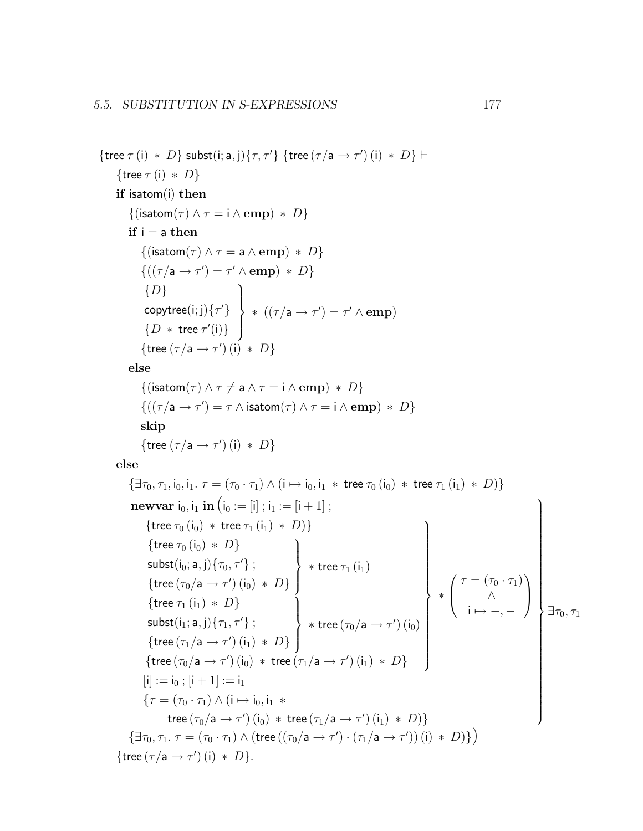```
{tree \tau(i) * D} subst(i; a, j){\tau, \tau'} {tree (\tau/a \rightarrow \tau') (i) * D} \vdash{tree \tau (i) * D}
      if isatom(i) then
            \{(\textsf{isatom}(\tau) \land \tau = \textsf{i} \land \textbf{emp}) \, * \, D\}if i = a then
                 \{(\textsf{isatom}(\tau) \land \tau = \mathsf{a} \land \mathsf{emp}) \, * \, D\}\{((\tau/a \rightarrow \tau') = \tau' \wedge \text{emp}) * D\}\{D\}copytree(i;j)\{\tau'\}\{D * \text{tree } \tau'(\mathfrak{i})\}\mathcal{L}\overline{\mathcal{L}}\int* ((\tau/a \rightarrow \tau') = \tau' \wedge emp){tree (\tau/a \rightarrow \tau') (i) * D}
           else
                 \{(\textsf{isatom}(\tau) \land \tau \neq \mathsf{a} \land \tau = \mathsf{i} \land \mathsf{emp}) \, * \, D\}\{((\tau/a \rightarrow \tau') = \tau \land \text{isatom}(\tau) \land \tau = \text{i} \land \text{emp}) * D\}skip
                 {tree (\tau/a \rightarrow \tau') (i) * D}
      else
            \{\exists \tau_0, \tau_1, i_0, i_1 \ldots \tau = (\tau_0 \cdot \tau_1) \wedge (i \mapsto i_0, i_1 \ast \text{tree } \tau_0 (i_0) \ast \text{tree } \tau_1 (i_1) \ast D)\}\newvar i_0, i_1 in (i_0 := [i]; i_1 := [i + 1];
                   {tree \tau_0 (i<sub>0</sub>) * tree \tau_1 (i<sub>1</sub>) * D)}
                    {tree \tau_0 (i<sub>0</sub>) * D}
                    \mathsf{subst}(\mathsf{i}_0; \mathsf{a}, \mathsf{j})\{\tau_0, \tau'\} ;
                    {tree (\tau_0/a \rightarrow \tau') (i<sub>0</sub>) * D}
                                                                                  \mathcal{L}\overline{\mathcal{L}}\int* tree \tau_1\left(\mathsf{i}_1\right){tree \tau_1(i_1) * D}
                    \mathsf{subst}(\mathsf{i}_1; \mathsf{a}, \mathsf{j})\{\tau_1, \tau'\} ;
                    {tree (\tau_1/a \rightarrow \tau') (i_1) * D}
                                                                                  \mathcal{L}\overline{\mathcal{L}}\int* tree (\tau_0/a \rightarrow \tau') (i_0){tree (\tau_0/a \rightarrow \tau') (i<sub>0</sub>) * tree (\tau_1/a \rightarrow \tau') (i<sub>1</sub>) * D}
                                                                                                                                         \mathcal{L}\begin{array}{c} \hline \end{array}\begin{array}{c} \hline \end{array}∗
                                                                                                                                                   \sqrt{ }\overline{ }\tau = (\tau_0 \cdot \tau_1)∧
                                                                                                                                                            i \mapsto -,-\setminus\Big\}[i] := i_0; [i + 1] := i_1{\tau = (\tau_0 \cdot \tau_1) \wedge (\mathbf{i} \mapsto \mathbf{i}_0, \mathbf{i}_1 \cdot \mathbf{r})}tree (\tau_0/a \rightarrow \tau') (i_0) * tree (\tau_1/a \rightarrow \tau') (i_1) * D)}
                                                                                                                                                                                        \mathcal{L}

                                                                                                                                                                                             \exists \tau_0, \tau_1\{\exists \tau_0, \tau_1. \ \tau = (\tau_0 \cdot \tau_1) \wedge (\text{tree }((\tau_0/\mathsf{a} \rightarrow \tau') \cdot (\tau_1/\mathsf{a} \rightarrow \tau'))(\mathsf{i}) \ * \ D)\}\big){tree (\tau/a \rightarrow \tau') (i) * D}.
```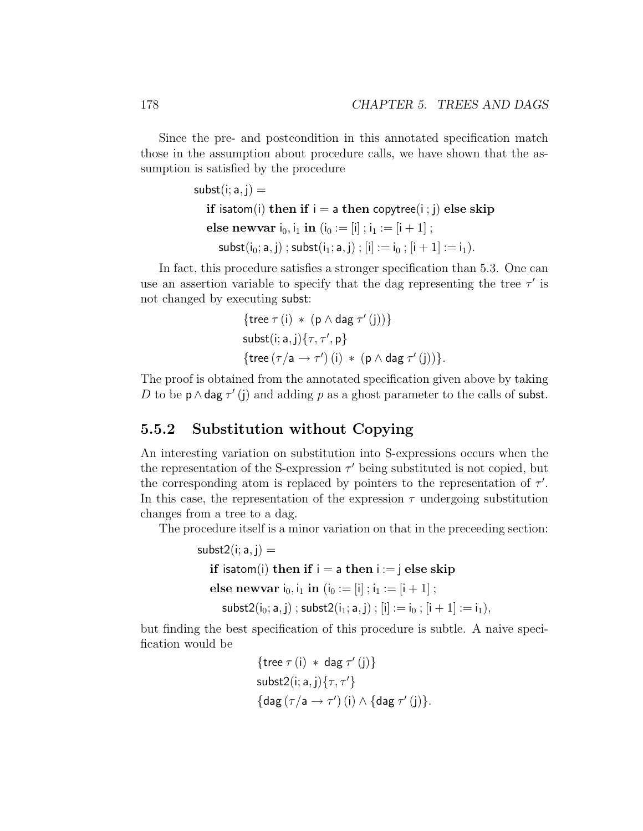Since the pre- and postcondition in this annotated specification match those in the assumption about procedure calls, we have shown that the assumption is satisfied by the procedure

```
subst(i; a, j) =if isatom(i) then if i = a then copytree(i; j) else skip
   else newvar i_0, i_1 in (i_0 := [i]; i_1 := [i + 1];
      \textsf{subst}(i_0; a, j); \textsf{subst}(i_1; a, j); [i] := i_0; [i + 1] := i_1).
```
In fact, this procedure satisfies a stronger specification than 5.3. One can use an assertion variable to specify that the dag representing the tree  $\tau'$  is not changed by executing subst:

$$
\{ \text{tree } \tau(i) * (p \land \text{dag } \tau'(j)) \}
$$
\n
$$
\text{subst}(i; a, j) \{ \tau, \tau', p \}
$$
\n
$$
\{ \text{tree } (\tau/a \rightarrow \tau')(i) * (p \land \text{dag } \tau'(j)) \}.
$$

The proof is obtained from the annotated specification given above by taking D to be  $p \wedge$  dag  $\tau'$  (j) and adding p as a ghost parameter to the calls of subst.

## 5.5.2 Substitution without Copying

An interesting variation on substitution into S-expressions occurs when the the representation of the S-expression  $\tau'$  being substituted is not copied, but the corresponding atom is replaced by pointers to the representation of  $\tau'$ . In this case, the representation of the expression  $\tau$  undergoing substitution changes from a tree to a dag.

The procedure itself is a minor variation on that in the preceeding section:

```
subst2(i; a, j) =if isatom(i) then if i = a then i := j else skip
  else newvar i_0, i_1 in (i_0 := [i]; i_1 := [i + 1];
     subst2(i_0; a, j); subst2(i_1; a, j); [i] := i_0; [i + 1] := i_1),
```
but finding the best specification of this procedure is subtle. A naive specification would be

$$
\{ \text{tree } \tau(i) * \text{ dag } \tau'(j) \}
$$
  
 
$$
\text{subst2}(i; a, j) \{ \tau, \tau' \}
$$
  
 
$$
\{ \text{dag } (\tau/a \rightarrow \tau')(i) \land \{ \text{dag } \tau'(j) \}.
$$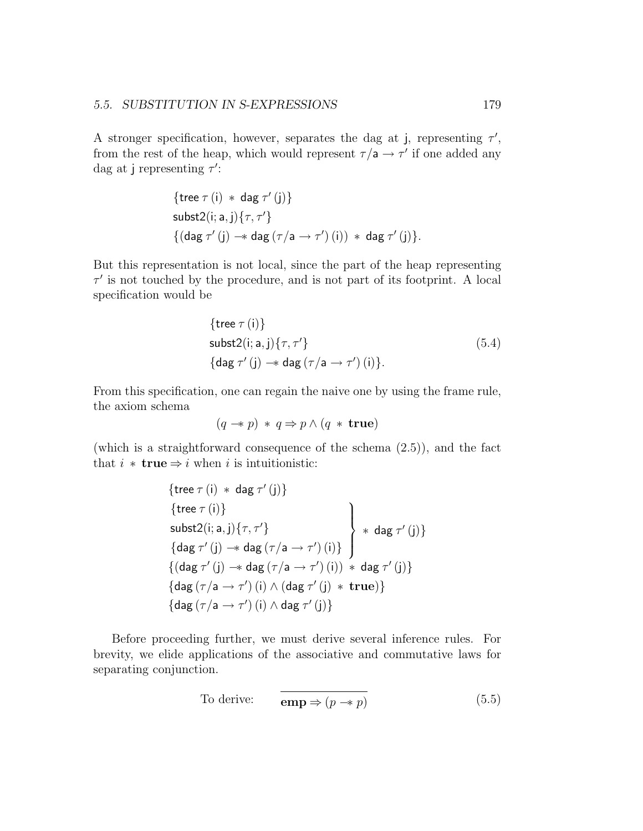A stronger specification, however, separates the dag at j, representing  $\tau'$ , from the rest of the heap, which would represent  $\tau/a \rightarrow \tau'$  if one added any dag at j representing  $\tau'$ :

$$
\{ \text{tree } \tau(i) * \text{ dag } \tau'(j) \}
$$
  
 
$$
\text{subst2}(i; a, j) \{ \tau, \tau' \}
$$
  

$$
\{ (\text{dag } \tau'(j) \to \text{dag } (\tau/a \to \tau')(i)) * \text{ dag } \tau'(j) \}.
$$

But this representation is not local, since the part of the heap representing  $\tau'$  is not touched by the procedure, and is not part of its footprint. A local specification would be

$$
\{ \text{tree } \tau(i) \}
$$
  
subst2(i; a, j) { $\tau$ ,  $\tau'$ }  

$$
\{ \text{dag } \tau'(j) \to \text{dag } (\tau/a \to \tau')(i) \}.
$$
 (5.4)

From this specification, one can regain the naive one by using the frame rule, the axiom schema

$$
(q \twoheadrightarrow p) * q \Rightarrow p \wedge (q * \text{true})
$$

(which is a straightforward consequence of the schema (2.5)), and the fact that  $i * \textbf{true} \Rightarrow i \text{ when } i \text{ is intuitionistic:}$ 

$$
\left\{\text{tree } \tau(i) * \text{ dag } \tau'(j)\right\}
$$
\n
$$
\left\{\text{tree } \tau(i)\right\}
$$
\n
$$
\left\{\text{use } \tau'(i)\right\}
$$
\n
$$
\left\{\text{diag } \tau'(j) \to \text{dag } (\tau/a \to \tau')(i)\right\} \quad \left\{\text{diag } \tau'(j)\right\}
$$
\n
$$
\left\{\text{diag } \tau'(j) \to \text{dag } (\tau/a \to \tau')(i)) * \text{dag } \tau'(j)\right\}
$$
\n
$$
\left\{\text{dag } (\tau/a \to \tau')(i) \land (\text{dag } \tau'(j) * \text{ true})\right\}
$$
\n
$$
\left\{\text{dag } (\tau/a \to \tau')(i) \land \text{dag } \tau'(j)\right\}
$$

Before proceeding further, we must derive several inference rules. For brevity, we elide applications of the associative and commutative laws for separating conjunction.

To derive: 
$$
\mathbf{emp} \Rightarrow (p \rightarrow p)
$$
 (5.5)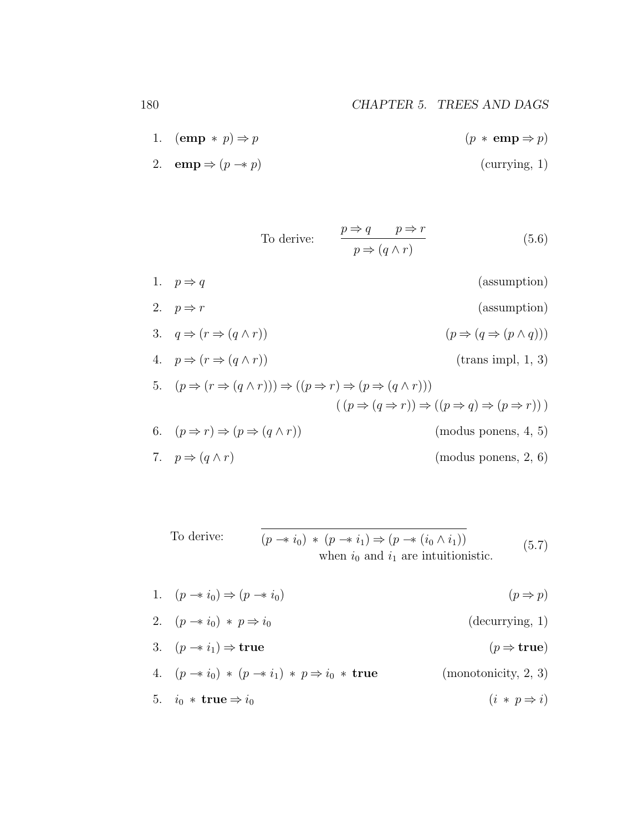- 1.  $(\mathbf{emp} * p) \Rightarrow p$   $(p * \mathbf{emp} \Rightarrow p)$
- 2. **emp**  $\Rightarrow$   $(p \rightarrow p)$  (currying, 1)

To derive:  
\n
$$
\frac{p \Rightarrow q \qquad p \Rightarrow r}{p \Rightarrow (q \land r)}
$$
\n(5.6)  
\n1.  $p \Rightarrow q$  (assumption)  
\n2.  $p \Rightarrow r$  (assumption)  
\n3.  $q \Rightarrow (r \Rightarrow (q \land r))$   $(p \Rightarrow (q \Rightarrow (p \land q)))$   
\n4.  $p \Rightarrow (r \Rightarrow (q \land r))$  (trans impl, 1, 3)  
\n5.  $(p \Rightarrow (r \Rightarrow (q \land r))) \Rightarrow ((p \Rightarrow r) \Rightarrow (p \Rightarrow (q \land r)))$   
\n $((p \Rightarrow (q \Rightarrow r)) \Rightarrow ((p \Rightarrow q) \Rightarrow (p \Rightarrow r)))$   
\n6.  $(p \Rightarrow r) \Rightarrow (p \Rightarrow (q \land r))$  (modus ponens, 4, 5)  
\n7.  $p \Rightarrow (q \land r)$  (modus ponens, 2, 6)

To derive: 
$$
(p \rightarrow i_0) * (p \rightarrow i_1) \Rightarrow (p \rightarrow (i_0 \land i_1))
$$
  
when  $i_0$  and  $i_1$  are intuitionistic. (5.7)

- 1.  $(p \rightarrow i_0) \Rightarrow (p \rightarrow i_0)$   $(p \rightarrow p)$
- 2.  $(p \rightarrow i_0) * p \Rightarrow i_0$  (decurrying, 1)
- 3.  $(p \rightarrow i_1) \Rightarrow \text{true}$  (p  $\Rightarrow \text{true}$ )
- 4.  $(p \rightarrow i_0) * (p \rightarrow i_1) * p \Rightarrow i_0 * \textbf{true}$  (monotonicity, 2, 3) 5.  $i_0 * \text{true} \Rightarrow i_0$  (i \* p  $\Rightarrow i$ )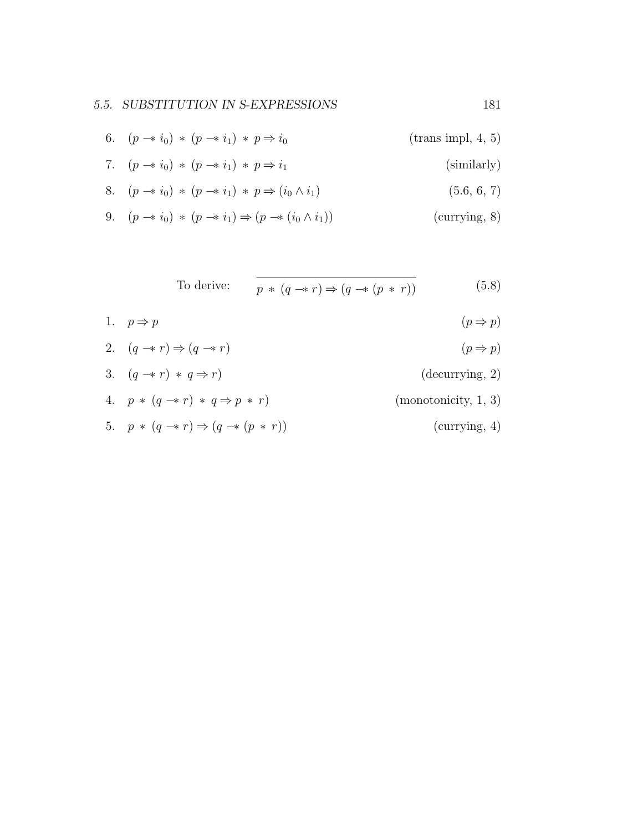- 6.  $(p \to i_0) * (p \to i_1) * p \to i_0$  (trans impl, 4, 5)
- 7.  $(p \rightarrow i_0) * (p \rightarrow i_1) * p \Rightarrow i_1$  (similarly)

8. 
$$
(p \to i_0) * (p \to i_1) * p \Rightarrow (i_0 \land i_1)
$$
 (5.6, 6, 7)

9. 
$$
(p \rightarrow i_0) * (p \rightarrow i_1) \Rightarrow (p \rightarrow (i_0 \land i_1))
$$
 (currying, 8)

To derive: 
$$
\overline{p * (q \to r) \Rightarrow (q \to (p * r))}
$$
 (5.8)

1. 
$$
p \Rightarrow p
$$
  $(p \Rightarrow p)$   
\n2.  $(q \rightarrow r) \Rightarrow (q \rightarrow r)$   $(p \Rightarrow p)$   
\n3.  $(q \rightarrow r) * q \Rightarrow r$  (decurring, 2)  
\n4.  $p * (q \rightarrow r) * q \Rightarrow p * r$  (monotonicity, 1, 3)

5.  $p * (q \rightarrow r) \Rightarrow (q \rightarrow (p * r))$  (currying, 4)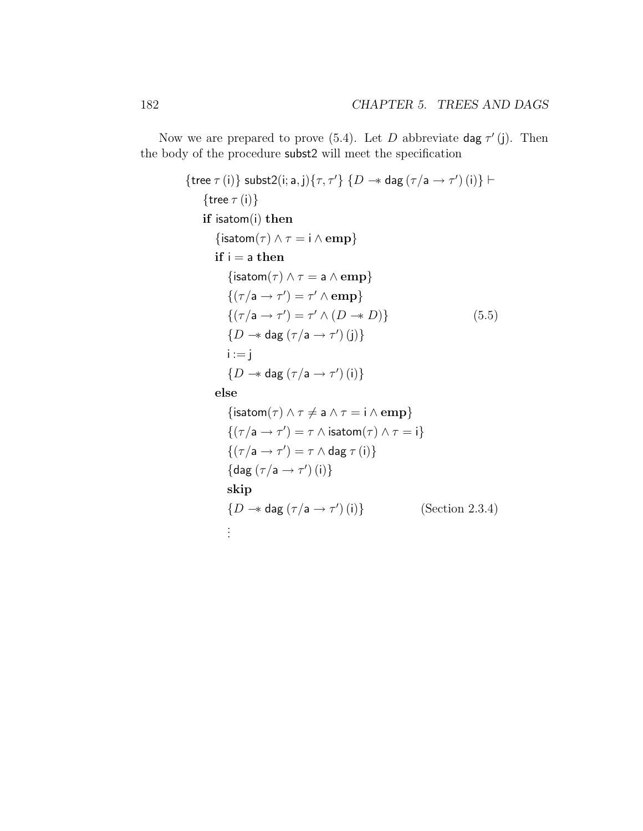Now we are prepared to prove (5.4). Let D abbreviate dag  $\tau'$  (j). Then the body of the procedure subst2 will meet the specification

{tree 
$$
\tau
$$
 (i)} subst2(i; a, j){ $\tau$ ,  $\tau'$ } { $D \rightarrow$  dag ( $\tau/a \rightarrow \tau'$ ) (i)}  
\n{tree  $\tau$  (i)}  
\nif isatom(i) then  
\n{isatom( $\tau$ )  $\land \tau = i \land$  emp}  
\nif i = a then  
\n{isatom( $\tau$ )  $\land \tau = a \land$ emp}  
\n{( $\tau/a \rightarrow \tau'$ ) =  $\tau' \land$ emp}  
\n{( $\tau/a \rightarrow \tau'$ ) =  $\tau' \land (D \rightarrow D)$ }  
\n{ $D \rightarrow$  dag ( $\tau/a \rightarrow \tau'$ ) (j)}  
\n $i := j$   
\n{ $D \rightarrow$  dag ( $\tau/a \rightarrow \tau'$ ) (i)}}  
\nelse  
\n{isatom( $\tau$ )  $\land \tau \neq a \land \tau = i \land$ emp}  
\n{( $\tau/a \rightarrow \tau'$ ) =  $\tau \land$ isatom( $\tau$ )  $\land \tau = i$ }  
\n{( $\tau/a \rightarrow \tau'$ ) =  $\tau \land$ dag  $\tau$  (i)}  
\n{dag ( $\tau/a \rightarrow \tau'$ ) =  $\tau \land$  dag  $\tau$  (i)}  
\n{diag ( $\tau/a \rightarrow \tau'$ ) (i)}  
\nskip  
\n{ $D \rightarrow$  dag ( $\tau/a \rightarrow \tau'$ ) (i)} (Section 2.3.4)

. . .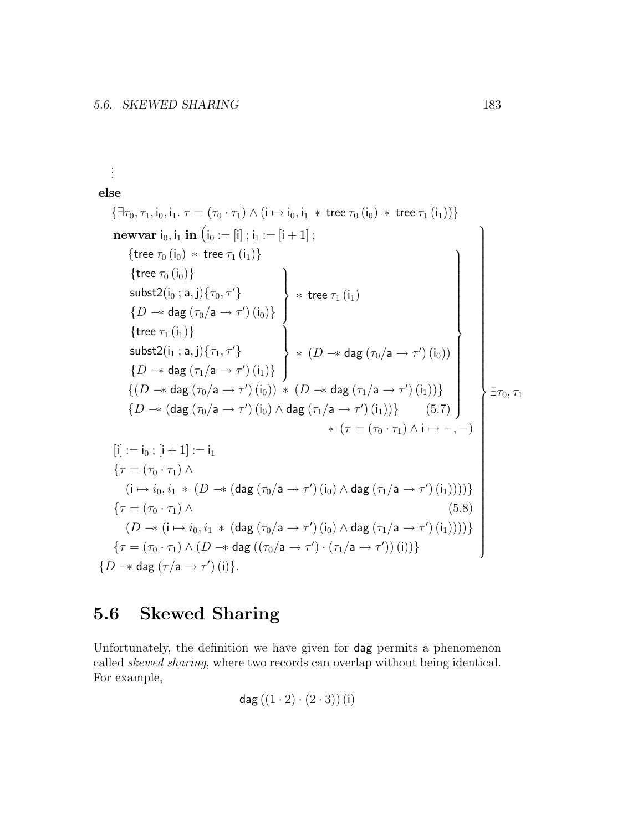. . . else  ${\exists \tau_0, \tau_1, i_0, i_1 \ldots \tau = (\tau_0 \cdot \tau_1) \wedge (i \mapsto i_0, i_1 \ast \text{ tree } \tau_0 (i_0) \ast \text{ tree } \tau_1 (i_1)) }$ **newvar**  $i_0$ ,  $i_1$  **in**  $(i_0 := [i]$ ;  $i_1 := [i + 1]$ ; {tree  $\tau_0$   $(i_0)$  \* tree  $\tau_1$   $(i_1)$ }  $\{$ tree  $\tau_{0}$   $(i_{0})\}$ subst2 $(i_0; a, j)$  $\{\tau_0, \tau'\}$  $\{D \rightarrow \mathsf{dag}(\tau_0/\mathsf{a} \rightarrow \tau')(\mathsf{i}_0)\}$  $\mathcal{L}$  $\overline{\mathcal{L}}$  $\int$  $*$  tree  $\tau_1\left(\mathsf{i}_1\right)$  $\{$ tree  $\tau_1$  $(i_1)\}$  $\mathsf{subst}2(\mathsf{i}_1; \mathsf{a}, \mathsf{j})\{\tau_1, \tau'\}$  $\{D \rightarrow \mathsf{dag}(\tau_1/\mathsf{a} \rightarrow \tau')(\mathsf{i}_1)\}$  $\mathcal{L}$  $\overline{\mathcal{L}}$  $\int$ \*  $(D \rightarrow \text{dag} (\tau_0/a \rightarrow \tau') (i_0))$  $\{(D \rightarrow \text{dag}(\tau_0/\text{a} \rightarrow \tau')(\mathfrak{i}_0)) \, * \, (D \rightarrow \text{dag}(\tau_1/\text{a} \rightarrow \tau')(\mathfrak{i}_1))\}$  $\{D \rightarrow (\text{dag}(\tau_0/a \rightarrow \tau'))(i_0) \wedge \text{dag}(\tau_1/a \rightarrow \tau') (i_1))\}$  (5.7)  $\mathcal{L}$  $\begin{array}{c} \hline \end{array}$  $\overline{\phantom{a}}$  $*$   $(\tau = (\tau_0 \cdot \tau_1) \wedge i \mapsto -, -)$  $[i] := i_0 ; [i + 1] := i_1$  $\{\tau=(\tau_0\cdot\tau_1)\wedge$  $(i \mapsto i_0, i_1 \, * \, (D \twoheadrightarrow (diag(\tau_0/a \rightarrow \tau') (i_0) \wedge dag(\tau_1/a \rightarrow \tau') (i_1))))$  $\tau = (\tau_0 \cdot \tau_1) \wedge$  (5.8)  $(D \rightarrow (i \mapsto i_0, i_1 \ast (diag(\tau_0/a \rightarrow \tau') (i_0) \wedge dag(\tau_1/a \rightarrow \tau' ) (i_1))))$  $\{\tau=(\tau_0\cdot\tau_1)\wedge(D\twoheadrightarrow \mathsf{dag}\;((\tau_0/\mathsf{a}\to\tau')\cdot(\tau_1/\mathsf{a}\to\tau'))\,\mathsf{(i)})\}$  $\mathcal{L}$   $\exists \tau_0, \tau_1$ { $D \rightarrow \text{dag} (\tau/\text{a} \rightarrow \tau')$  (i)}.  $\prime$ 

# 5.6 Skewed Sharing

Unfortunately, the definition we have given for dag permits a phenomenon called skewed sharing, where two records can overlap without being identical. For example,

$$
\mathsf{dag}\left(\left(1\cdot2\right)\cdot\left(2\cdot3\right)\right)\left(\mathsf{i}\right)
$$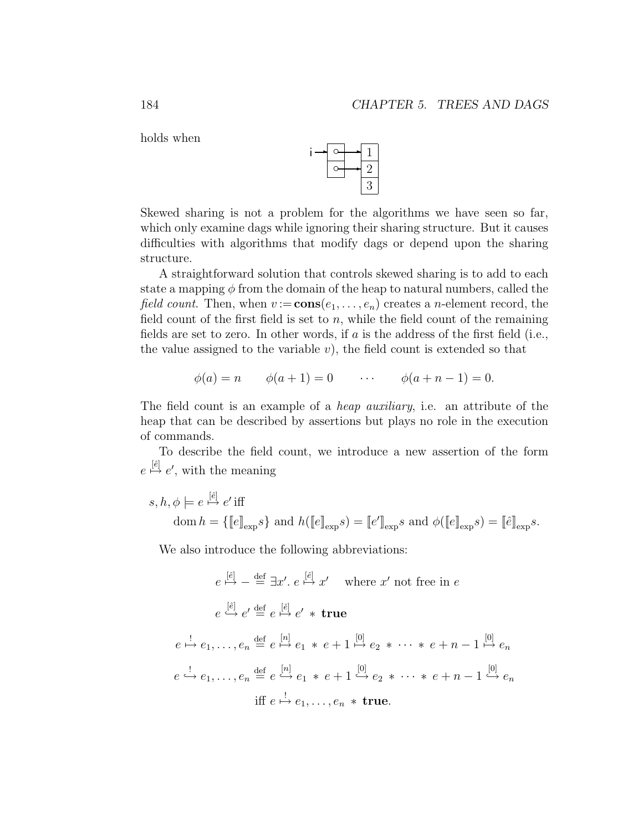holds when



Skewed sharing is not a problem for the algorithms we have seen so far, which only examine dags while ignoring their sharing structure. But it causes difficulties with algorithms that modify dags or depend upon the sharing structure.

A straightforward solution that controls skewed sharing is to add to each state a mapping  $\phi$  from the domain of the heap to natural numbers, called the *field count.* Then, when  $v := \text{cons}(e_1, \ldots, e_n)$  creates a *n*-element record, the field count of the first field is set to  $n$ , while the field count of the remaining fields are set to zero. In other words, if  $a$  is the address of the first field (i.e., the value assigned to the variable  $v$ ), the field count is extended so that

$$
\phi(a) = n
$$
  $\phi(a+1) = 0$   $\cdots$   $\phi(a+n-1) = 0.$ 

The field count is an example of a *heap auxiliary*, i.e. an attribute of the heap that can be described by assertions but plays no role in the execution of commands.

To describe the field count, we introduce a new assertion of the form  $e \stackrel{[*e*]}{\mapsto} e'$ , with the meaning

$$
s, h, \phi \models e \stackrel{[\hat{e}]}{\mapsto} e' \text{ iff}
$$
  
dom  $h = \{\llbracket e \rrbracket_{\exp} s\}$  and  $h(\llbracket e \rrbracket_{\exp} s) = \llbracket e' \rrbracket_{\exp} s$  and  $\phi(\llbracket e \rrbracket_{\exp} s) = \llbracket \hat{e} \rrbracket_{\exp} s.$ 

We also introduce the following abbreviations:

$$
e \stackrel{[e]}{\mapsto} - \stackrel{\text{def}}{=} \exists x'. \ e \stackrel{[e]}{\mapsto} x' \quad \text{where } x' \text{ not free in } e
$$
\n
$$
e \stackrel{[e]}{\mapsto} e' \stackrel{\text{def}}{=} e \stackrel{[e]}{\mapsto} e' * \text{ true}
$$
\n
$$
e \stackrel{!}{\mapsto} e_1, \dots, e_n \stackrel{\text{def}}{=} e \stackrel{[n]}{\mapsto} e_1 * e + 1 \stackrel{[0]}{\mapsto} e_2 * \dots * e + n - 1 \stackrel{[0]}{\mapsto} e_n
$$
\n
$$
e \stackrel{!}{\mapsto} e_1, \dots, e_n \stackrel{\text{def}}{=} e \stackrel{[n]}{\mapsto} e_1 * e + 1 \stackrel{[0]}{\mapsto} e_2 * \dots * e + n - 1 \stackrel{[0]}{\mapsto} e_n
$$
\n
$$
\text{iff } e \stackrel{!}{\mapsto} e_1, \dots, e_n * \text{ true.}
$$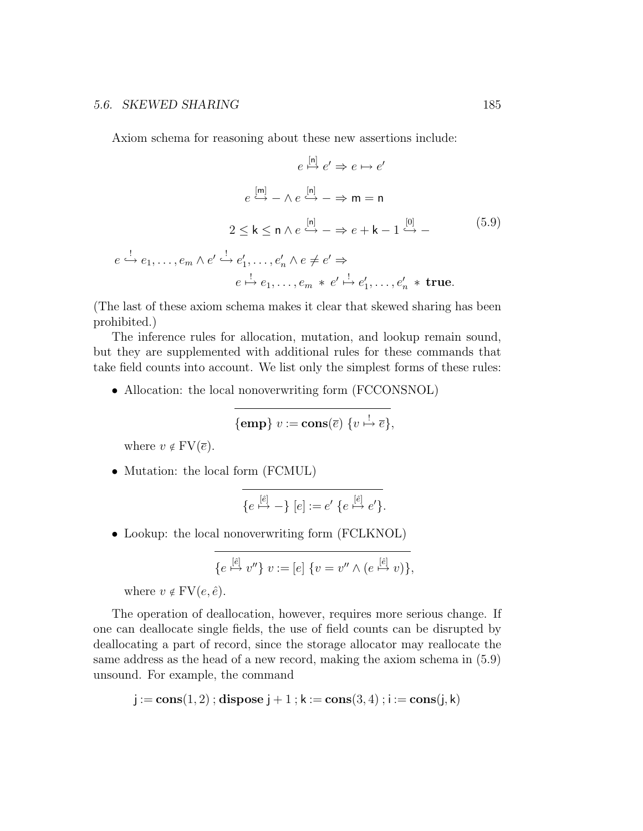### 5.6. SKEWED SHARING 185

Axiom schema for reasoning about these new assertions include:

$$
e \stackrel{[n]}{\mapsto} e' \Rightarrow e \mapsto e'
$$
  
\n
$$
e \stackrel{[m]}{\mapsto} - \wedge e \stackrel{[n]}{\mapsto} - \Rightarrow m = n
$$
  
\n
$$
2 \le k \le n \wedge e \stackrel{[n]}{\mapsto} - \Rightarrow e + k - 1 \stackrel{[0]}{\mapsto} -
$$
  
\n
$$
e \stackrel{!}{\mapsto} e_1, \dots, e_m \wedge e' \stackrel{!}{\mapsto} e'_1, \dots, e'_n \wedge e \neq e' \Rightarrow
$$
  
\n
$$
e \stackrel{!}{\mapsto} e_1, \dots, e_m * e' \stackrel{!}{\mapsto} e'_1, \dots, e'_n * \text{true.}
$$
\n(5.9)

(The last of these axiom schema makes it clear that skewed sharing has been prohibited.)

The inference rules for allocation, mutation, and lookup remain sound, but they are supplemented with additional rules for these commands that take field counts into account. We list only the simplest forms of these rules:

• Allocation: the local nonoverwriting form (FCCONSNOL)

$$
{\bf \{emp\}}\ v := \mathbf{cons}(\overline{e})\ \{v \stackrel{!}{\mapsto} \overline{e}\},
$$

where  $v \notin FV(\overline{e})$ .

• Mutation: the local form (FCMUL)

$$
\{e \stackrel{[\hat{e}]}{\mapsto} -\} [e] := e' \{e \stackrel{[\hat{e}]}{\mapsto} e'\}.
$$

• Lookup: the local nonoverwriting form (FCLKNOL)

$$
\{e\stackrel{[\hat{e}]}{\mapsto}v''\}v:=[e]\{v=v''\wedge(e\stackrel{[\hat{e}]}{\mapsto}v)\},\
$$

where  $v \notin FV(e, \hat{e})$ .

The operation of deallocation, however, requires more serious change. If one can deallocate single fields, the use of field counts can be disrupted by deallocating a part of record, since the storage allocator may reallocate the same address as the head of a new record, making the axiom schema in (5.9) unsound. For example, the command

$$
j := \mathbf{cons}(1,2) \; ; \; \mathbf{dispose} \; j+1 \; ; \; k := \mathbf{cons}(3,4) \; ; \; i := \mathbf{cons}(j,k)
$$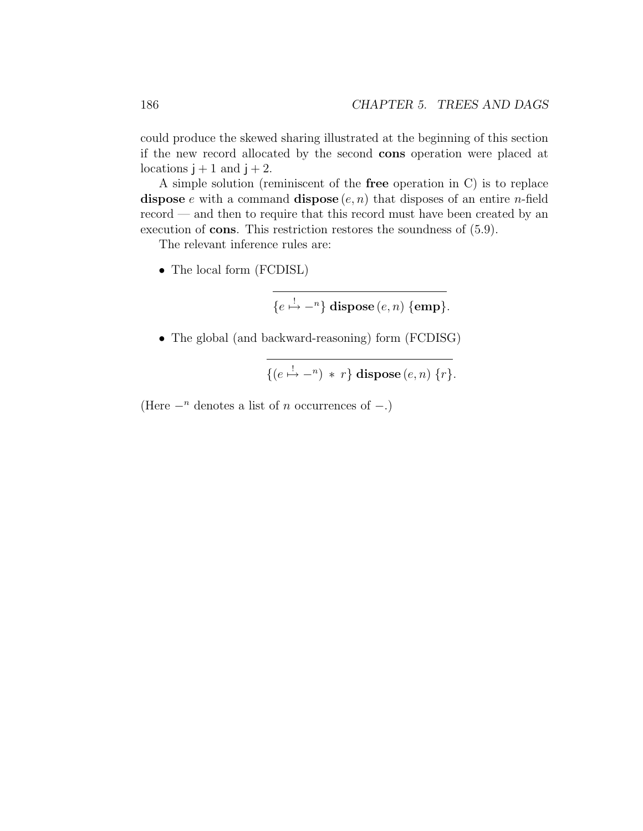could produce the skewed sharing illustrated at the beginning of this section if the new record allocated by the second cons operation were placed at locations  $j + 1$  and  $j + 2$ .

A simple solution (reminiscent of the free operation in C) is to replace dispose e with a command dispose  $(e, n)$  that disposes of an entire *n*-field record — and then to require that this record must have been created by an execution of cons. This restriction restores the soundness of (5.9).

The relevant inference rules are:

• The local form (FCDISL)

$$
\{e \stackrel{!}{\mapsto} -\textsuperscript{n}\} \text{ dispose } (e, n) \text{ } \{\textbf{emp}\}.
$$

• The global (and backward-reasoning) form (FCDISG)

 $\{(e \stackrel{!}{\mapsto} -n) * r\}$  dispose  $(e, n)$   $\{r\}.$ 

(Here  $-<sup>n</sup>$  denotes a list of *n* occurrences of  $-$ .)